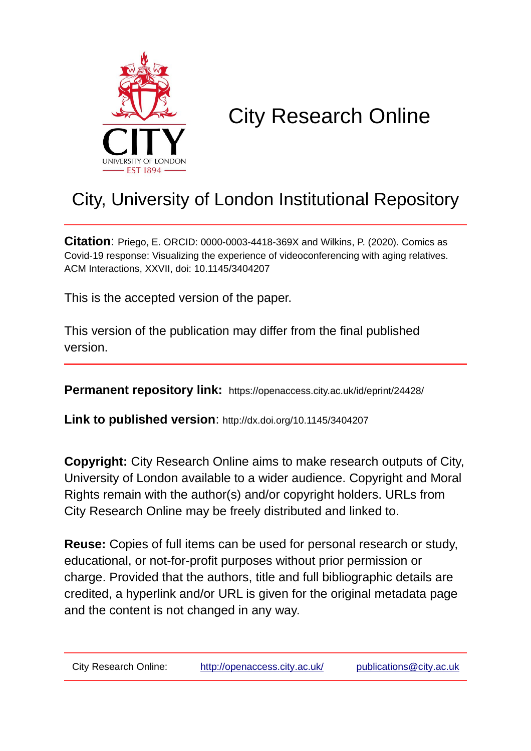

# City Research Online

## City, University of London Institutional Repository

**Citation**: Priego, E. ORCID: 0000-0003-4418-369X and Wilkins, P. (2020). Comics as Covid-19 response: Visualizing the experience of videoconferencing with aging relatives. ACM Interactions, XXVII, doi: 10.1145/3404207

This is the accepted version of the paper.

This version of the publication may differ from the final published version.

**Permanent repository link:** https://openaccess.city.ac.uk/id/eprint/24428/

**Link to published version**: http://dx.doi.org/10.1145/3404207

**Copyright:** City Research Online aims to make research outputs of City, University of London available to a wider audience. Copyright and Moral Rights remain with the author(s) and/or copyright holders. URLs from City Research Online may be freely distributed and linked to.

**Reuse:** Copies of full items can be used for personal research or study, educational, or not-for-profit purposes without prior permission or charge. Provided that the authors, title and full bibliographic details are credited, a hyperlink and/or URL is given for the original metadata page and the content is not changed in any way.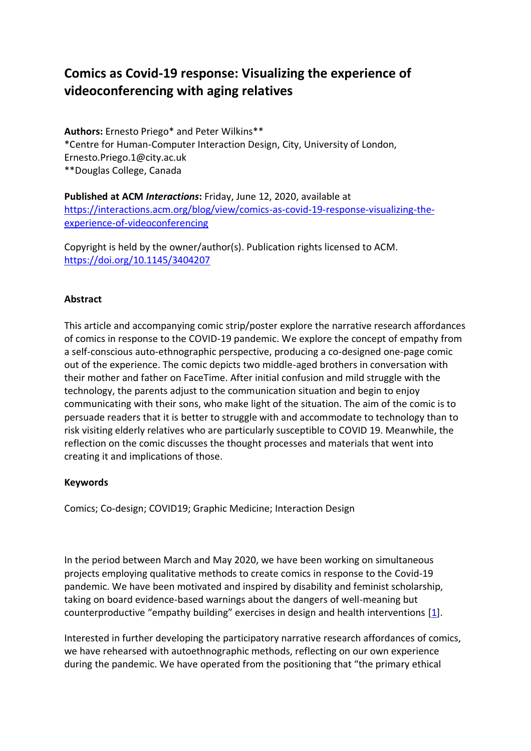### **Comics as Covid-19 response: Visualizing the experience of videoconferencing with aging relatives**

**Authors:** Ernesto Priego\* and Peter Wilkins\*\* \*Centre for Human-Computer Interaction Design, City, University of London, Ernesto.Priego.1@city.ac.uk \*\*Douglas College, Canada

**Published at ACM** *Interactions***:** Friday, June 12, 2020, available at [https://interactions.acm.org/blog/view/comics-as-covid-19-response-visualizing-the](https://interactions.acm.org/blog/view/comics-as-covid-19-response-visualizing-the-experience-of-videoconferencing)[experience-of-videoconferencing](https://interactions.acm.org/blog/view/comics-as-covid-19-response-visualizing-the-experience-of-videoconferencing) 

Copyright is held by the owner/author(s). Publication rights licensed to ACM. <https://doi.org/10.1145/3404207>

#### **Abstract**

This article and accompanying comic strip/poster explore the narrative research affordances of comics in response to the COVID-19 pandemic. We explore the concept of empathy from a self-conscious auto-ethnographic perspective, producing a co-designed one-page comic out of the experience. The comic depicts two middle-aged brothers in conversation with their mother and father on FaceTime. After initial confusion and mild struggle with the technology, the parents adjust to the communication situation and begin to enjoy communicating with their sons, who make light of the situation. The aim of the comic is to persuade readers that it is better to struggle with and accommodate to technology than to risk visiting elderly relatives who are particularly susceptible to COVID 19. Meanwhile, the reflection on the comic discusses the thought processes and materials that went into creating it and implications of those.

#### **Keywords**

Comics; Co-design; COVID19; Graphic Medicine; Interaction Design

In the period between March and May 2020, we have been working on simultaneous projects employing qualitative methods to create comics in response to the Covid-19 pandemic. We have been motivated and inspired by disability and feminist scholarship, taking on board evidence-based warnings about the dangers of well-meaning but counterproductive "empathy building" exercises in design and health interventions [\[1\]](https://interactions.acm.org/blog/view/comics-as-covid-19-response-visualizing-the-experience-of-videoconferencing#Ref1).

Interested in further developing the participatory narrative research affordances of comics, we have rehearsed with autoethnographic methods, reflecting on our own experience during the pandemic. We have operated from the positioning that "the primary ethical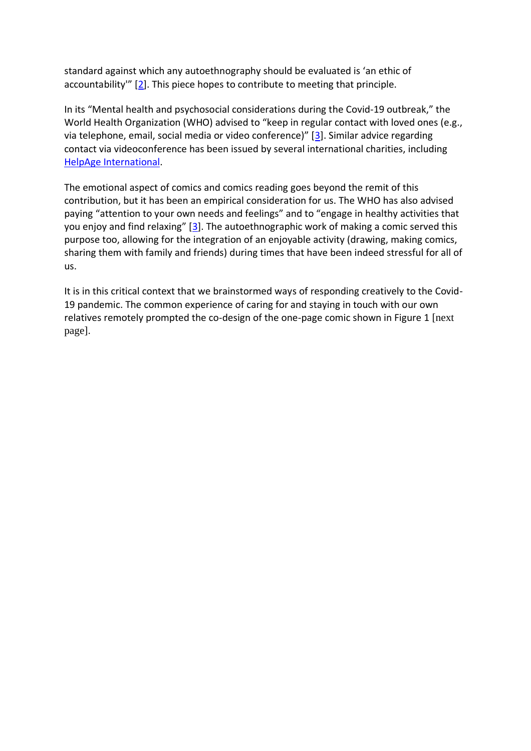standard against which any autoethnography should be evaluated is 'an ethic of accountability"  $[2]$  $[2]$ . This piece hopes to contribute to meeting that principle.

In its "Mental health and psychosocial considerations during the Covid-19 outbreak," the World Health Organization (WHO) advised to "keep in regular contact with loved ones (e.g., via telephone, email, social media or video conference)" [[3\]](https://interactions.acm.org/blog/view/comics-as-covid-19-response-visualizing-the-experience-of-videoconferencing#Ref3). Similar advice regarding contact via videoconference has been issued by several international charities, including [HelpAge International.](https://www.helpage.org/what-we-do/covid19-guidance-and-advice-for-carers-of-older-people-at-home/)

The emotional aspect of comics and comics reading goes beyond the remit of this contribution, but it has been an empirical consideration for us. The WHO has also advised paying "attention to your own needs and feelings" and to "engage in healthy activities that you enjoy and find relaxing"  $[3]$  $[3]$ . The autoethnographic work of making a comic served this purpose too, allowing for the integration of an enjoyable activity (drawing, making comics, sharing them with family and friends) during times that have been indeed stressful for all of us.

It is in this critical context that we brainstormed ways of responding creatively to the Covid-19 pandemic. The common experience of caring for and staying in touch with our own relatives remotely prompted the co-design of the one-page comic shown in Figure 1 [next page].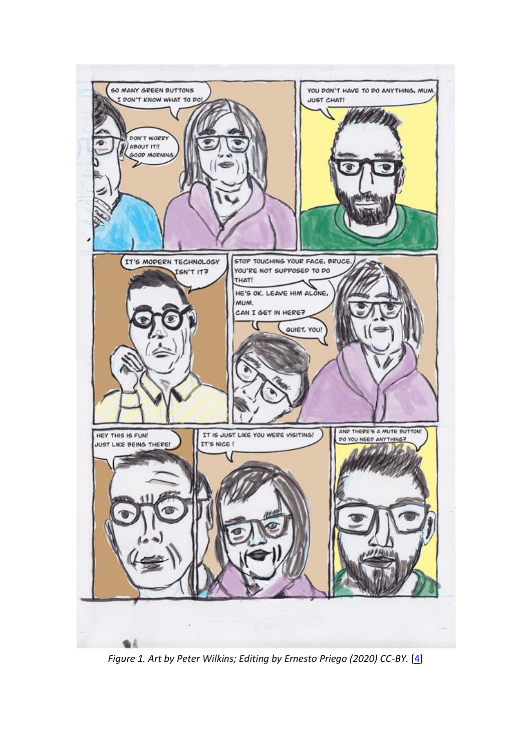

*Figure 1. Art by Peter Wilkins; Editing by Ernesto Priego (2020) CC-BY.* [\[4\]](https://interactions.acm.org/blog/view/comics-as-covid-19-response-visualizing-the-experience-of-videoconferencing#Ref4)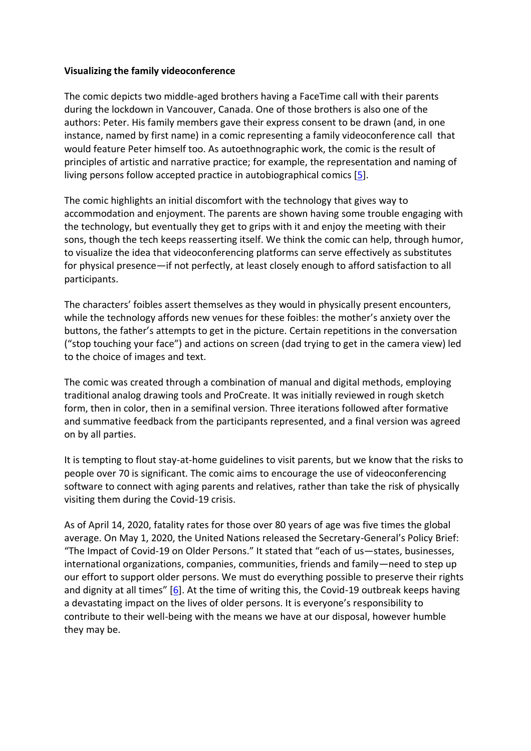#### **Visualizing the family videoconference**

The comic depicts two middle-aged brothers having a FaceTime call with their parents during the lockdown in Vancouver, Canada. One of those brothers is also one of the authors: Peter. His family members gave their express consent to be drawn (and, in one instance, named by first name) in a comic representing a family videoconference call that would feature Peter himself too. As autoethnographic work, the comic is the result of principles of artistic and narrative practice; for example, the representation and naming of living persons follow accepted practice in autobiographical comics [\[5\]](https://interactions.acm.org/blog/view/comics-as-covid-19-response-visualizing-the-experience-of-videoconferencing#Ref5).

The comic highlights an initial discomfort with the technology that gives way to accommodation and enjoyment. The parents are shown having some trouble engaging with the technology, but eventually they get to grips with it and enjoy the meeting with their sons, though the tech keeps reasserting itself. We think the comic can help, through humor, to visualize the idea that videoconferencing platforms can serve effectively as substitutes for physical presence—if not perfectly, at least closely enough to afford satisfaction to all participants.

The characters' foibles assert themselves as they would in physically present encounters, while the technology affords new venues for these foibles: the mother's anxiety over the buttons, the father's attempts to get in the picture. Certain repetitions in the conversation ("stop touching your face") and actions on screen (dad trying to get in the camera view) led to the choice of images and text.

The comic was created through a combination of manual and digital methods, employing traditional analog drawing tools and ProCreate. It was initially reviewed in rough sketch form, then in color, then in a semifinal version. Three iterations followed after formative and summative feedback from the participants represented, and a final version was agreed on by all parties.

It is tempting to flout stay-at-home guidelines to visit parents, but we know that the risks to people over 70 is significant. The comic aims to encourage the use of videoconferencing software to connect with aging parents and relatives, rather than take the risk of physically visiting them during the Covid-19 crisis.

As of April 14, 2020, fatality rates for those over 80 years of age was five times the global average. On May 1, 2020, the United Nations released the Secretary-General's Policy Brief: "The Impact of Covid-19 on Older Persons." It stated that "each of us—states, businesses, international organizations, companies, communities, friends and family—need to step up our effort to support older persons. We must do everything possible to preserve their rights and dignity at all times" [[6\]](https://interactions.acm.org/blog/view/comics-as-covid-19-response-visualizing-the-experience-of-videoconferencing#Ref6). At the time of writing this, the Covid-19 outbreak keeps having a devastating impact on the lives of older persons. It is everyone's responsibility to contribute to their well-being with the means we have at our disposal, however humble they may be.